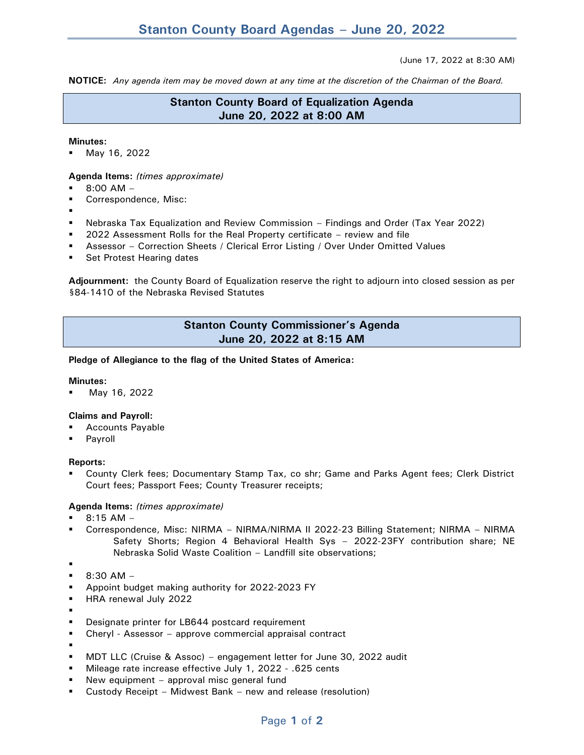#### (June 17, 2022 at 8:30 AM)

**NOTICE:** *Any agenda item may be moved down at any time at the discretion of the Chairman of the Board.*

# **Stanton County Board of Equalization Agenda June 20, 2022 at 8:00 AM**

#### **Minutes:**

May 16, 2022

## **Agenda Items:** *(times approximate)*

- $8:00$  AM  $-$
- Correspondence, Misc:
- Nebraska Tax Equalization and Review Commission – Findings and Order (Tax Year 2022)
- 2022 Assessment Rolls for the Real Property certificate review and file
- Assessor Correction Sheets / Clerical Error Listing / Over Under Omitted Values
- Set Protest Hearing dates

**Adjournment:** the County Board of Equalization reserve the right to adjourn into closed session as per §84-1410 of the Nebraska Revised Statutes

# **Stanton County Commissioner's Agenda June 20, 2022 at 8:15 AM**

### **Pledge of Allegiance to the flag of the United States of America:**

### **Minutes:**

May 16, 2022

## **Claims and Payroll:**

- **Accounts Payable**
- Payroll

## **Reports:**

County Clerk fees; Documentary Stamp Tax, co shr; Game and Parks Agent fees; Clerk District Court fees; Passport Fees; County Treasurer receipts;

## **Agenda Items:** *(times approximate)*

- $8:15$  AM –
- Correspondence, Misc: NIRMA NIRMA/NIRMA II 2022-23 Billing Statement; NIRMA NIRMA Safety Shorts; Region 4 Behavioral Health Sys – 2022-23FY contribution share; NE Nebraska Solid Waste Coalition – Landfill site observations;
- ▪
- $-$  8:30 AM –
- Appoint budget making authority for 2022-2023 FY
- HRA renewal July 2022
- ▪
- Designate printer for LB644 postcard requirement
- Cheryl Assessor approve commercial appraisal contract
- ▪
- MDT LLC (Cruise & Assoc) engagement letter for June 30, 2022 audit
- Mileage rate increase effective July 1, 2022 .625 cents
- New equipment approval misc general fund
- Custody Receipt Midwest Bank new and release (resolution)